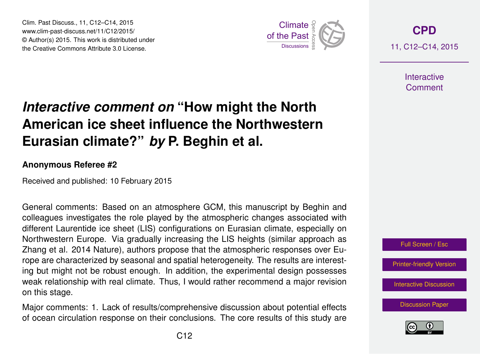Clim. Past Discuss., 11, C12–C14, 2015 www.clim-past-discuss.net/11/C12/2015/ © Author(s) 2015. This work is distributed under Clim. Past Discuss., 11, C12–C14, 2015<br>www.clim-past-discuss.net/11/C12/2015/<br>© Author(s) 2015. This work is distributed under<br>the Creative Commons Attribute 3.0 License.



**[CPD](http://www.clim-past-discuss.net)** 11, C12–C14, 2015

> **Interactive Comment**

## *Interactive comment on* **"How might the North American ice sheet influence the Northwestern Eurasian climate?"** *by* **P. Beghin et al.**

## **Anonymous Referee #2**

Received and published: 10 February 2015

General comments: Based on an atmosphere GCM, this manuscript by Beghin and colleagues investigates the role played by the atmospheric changes associated with different Laurentide ice sheet (LIS) configurations on Eurasian climate, especially on Northwestern Europe. Via gradually increasing the LIS heights (similar approach as Zhang et al. 2014 Nature), authors propose that the atmospheric responses over Europe are characterized by seasonal and spatial heterogeneity. The results are interesting but might not be robust enough. In addition, the experimental design possesses weak relationship with real climate. Thus, I would rather recommend a major revision on this stage.

Major comments: 1. Lack of results/comprehensive discussion about potential effects of ocean circulation response on their conclusions. The core results of this study are



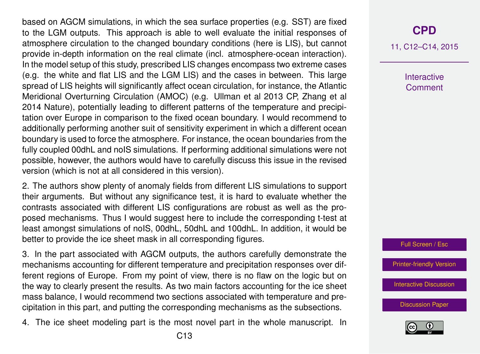based on AGCM simulations, in which the sea surface properties (e.g. SST) are fixed to the LGM outputs. This approach is able to well evaluate the initial responses of atmosphere circulation to the changed boundary conditions (here is LIS), but cannot provide in-depth information on the real climate (incl. atmosphere-ocean interaction). In the model setup of this study, prescribed LIS changes encompass two extreme cases (e.g. the white and flat LIS and the LGM LIS) and the cases in between. This large spread of LIS heights will significantly affect ocean circulation, for instance, the Atlantic Meridional Overturning Circulation (AMOC) (e.g. Ullman et al 2013 CP, Zhang et al 2014 Nature), potentially leading to different patterns of the temperature and precipitation over Europe in comparison to the fixed ocean boundary. I would recommend to additionally performing another suit of sensitivity experiment in which a different ocean boundary is used to force the atmosphere. For instance, the ocean boundaries from the fully coupled 00dhL and noIS simulations. If performing additional simulations were not possible, however, the authors would have to carefully discuss this issue in the revised version (which is not at all considered in this version).

2. The authors show plenty of anomaly fields from different LIS simulations to support their arguments. But without any significance test, it is hard to evaluate whether the contrasts associated with different LIS configurations are robust as well as the proposed mechanisms. Thus I would suggest here to include the corresponding t-test at least amongst simulations of noIS, 00dhL, 50dhL and 100dhL. In addition, it would be better to provide the ice sheet mask in all corresponding figures.

3. In the part associated with AGCM outputs, the authors carefully demonstrate the mechanisms accounting for different temperature and precipitation responses over different regions of Europe. From my point of view, there is no flaw on the logic but on the way to clearly present the results. As two main factors accounting for the ice sheet mass balance, I would recommend two sections associated with temperature and precipitation in this part, and putting the corresponding mechanisms as the subsections.

4. The ice sheet modeling part is the most novel part in the whole manuscript. In

## **[CPD](http://www.clim-past-discuss.net)**

11, C12–C14, 2015

**Interactive Comment** 



[Printer-friendly Version](http://www.clim-past-discuss.net/11/C12/2015/cpd-11-C12-2015-print.pdf)

[Interactive Discussion](http://www.clim-past-discuss.net/11/27/2015/cpd-11-27-2015-discussion.html)

[Discussion Paper](http://www.clim-past-discuss.net/11/27/2015/cpd-11-27-2015.pdf)